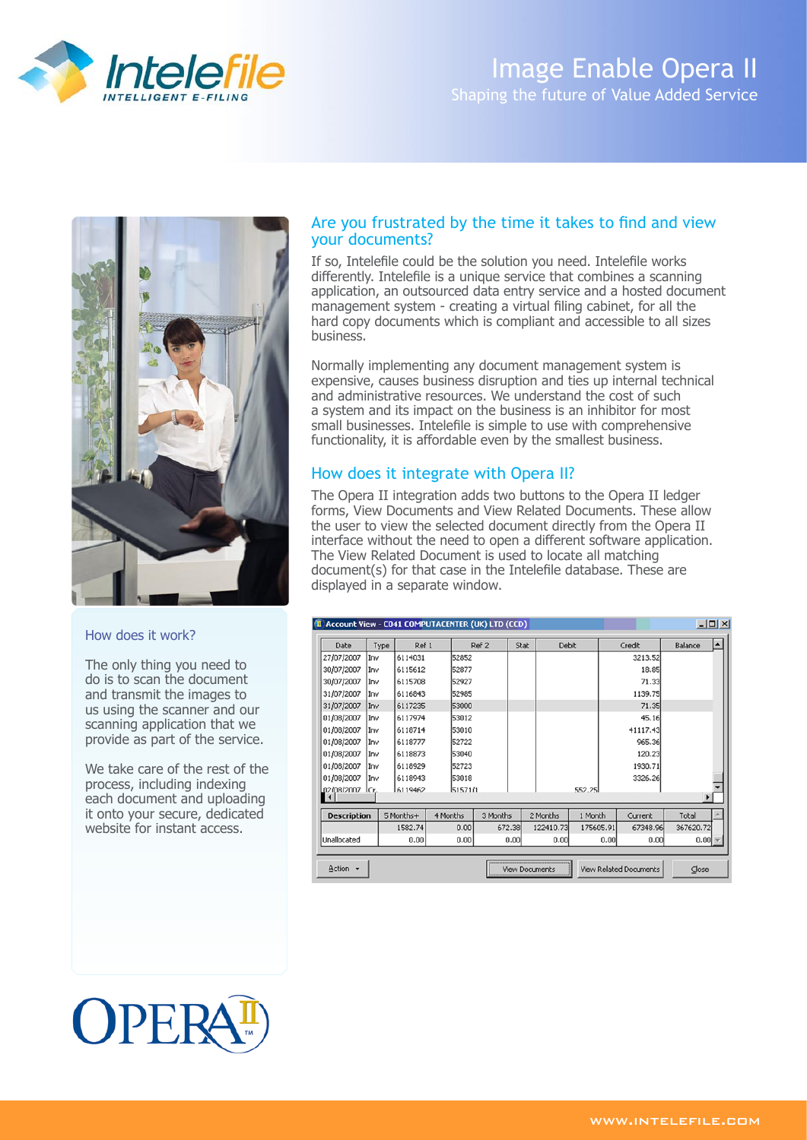

# Image Enable Opera II Shaping the future of Value Added Service



#### How does it work?

The only thing you need to do is to scan the document and transmit the images to us using the scanner and our scanning application that we provide as part of the service.

We take care of the rest of the process, including indexing each document and uploading it onto your secure, dedicated website for instant access.

### Are you frustrated by the time it takes to find and view your documents?

If so, Intelefile could be the solution you need. Intelefile works differently. Intelefile is a unique service that combines a scanning application, an outsourced data entry service and a hosted document management system - creating a virtual filing cabinet, for all the hard copy documents which is compliant and accessible to all sizes business.

Normally implementing any document management system is expensive, causes business disruption and ties up internal technical and administrative resources. We understand the cost of such a system and its impact on the business is an inhibitor for most small businesses. Intelefile is simple to use with comprehensive functionality, it is affordable even by the smallest business.

## How does it integrate with Opera II?

The Opera II integration adds two buttons to the Opera II ledger forms, View Documents and View Related Documents. These allow the user to view the selected document directly from the Opera II interface without the need to open a different software application. The View Related Document is used to locate all matching document(s) for that case in the Intelefile database. These are displayed in a separate window.

| I Account View - C041 COMPUTACENTER (UK) LTD (CCD)<br>$ \Box$ $\times$ |      |              |                       |          |      |           |           |      |                               |           |                  |  |
|------------------------------------------------------------------------|------|--------------|-----------------------|----------|------|-----------|-----------|------|-------------------------------|-----------|------------------|--|
| Date                                                                   | Type | Ref 1        |                       | Ref 2    | Stat | Debit     |           |      | Credit                        | Balance   | $\blacktriangle$ |  |
| 27/07/2007                                                             | Inv  | 6114031      | 52852                 |          |      |           |           |      | 3213.52                       |           |                  |  |
| 30/07/2007                                                             | Inv  | 6115612      | 52877                 |          |      |           |           |      | 18.85                         |           |                  |  |
| 30/07/2007                                                             | Inv  | 6115708      | 52927                 |          |      |           |           |      | 71.33                         |           |                  |  |
| 31/07/2007                                                             | Inv  | 6116843      | 52985                 |          |      |           |           |      | 1139.75                       |           |                  |  |
| 31/07/2007                                                             | Inv  | 6117235      | 53000                 |          |      |           |           |      | 71.35                         |           |                  |  |
| 01/08/2007                                                             | Inv  | 6117974      | 53012                 |          |      |           |           |      | 45.16                         |           |                  |  |
| 01/08/2007                                                             | Inv  | 6118714      | 53010                 |          |      |           |           |      | 41117.43                      |           |                  |  |
| 01/08/2007                                                             | Inv  | 6118777      | 52722                 |          |      |           |           |      | 965.36                        |           |                  |  |
| 01/08/2007                                                             | Inv  | 6118873      | 53040                 |          |      |           |           |      | 120.23                        |           |                  |  |
| 01/08/2007                                                             | Inv  | 6118929      | 52723                 |          |      |           |           |      | 1930.71                       |           |                  |  |
| 01/08/2007                                                             | Inv  | 6118943      | 53018                 |          |      |           |           |      | 3326.26                       |           |                  |  |
| m2/08/2007                                                             | lCr. | 6119462      | 5157171               |          |      |           | 552.25    |      |                               |           |                  |  |
|                                                                        |      |              |                       |          |      |           |           |      |                               |           |                  |  |
| <b>Description</b>                                                     |      | 5 Months+    | 4 Months              | 3 Months |      | 2 Months  | 1 Month   |      | Current                       | Total     |                  |  |
|                                                                        |      | 1582.74      | 0.00                  | 672.38   |      | 122410.73 | 175605.91 |      | 67348.96                      | 367620.72 |                  |  |
| Unallocated                                                            |      | 0.00<br>0.00 |                       |          | 0.00 | 0.00      |           | 0.00 | 0.00                          | 0.00      |                  |  |
|                                                                        |      |              |                       |          |      |           |           |      |                               |           |                  |  |
| $Action -$                                                             |      |              | <b>View Documents</b> |          |      |           |           |      | <b>View Related Documents</b> |           | Close            |  |

# OPEI